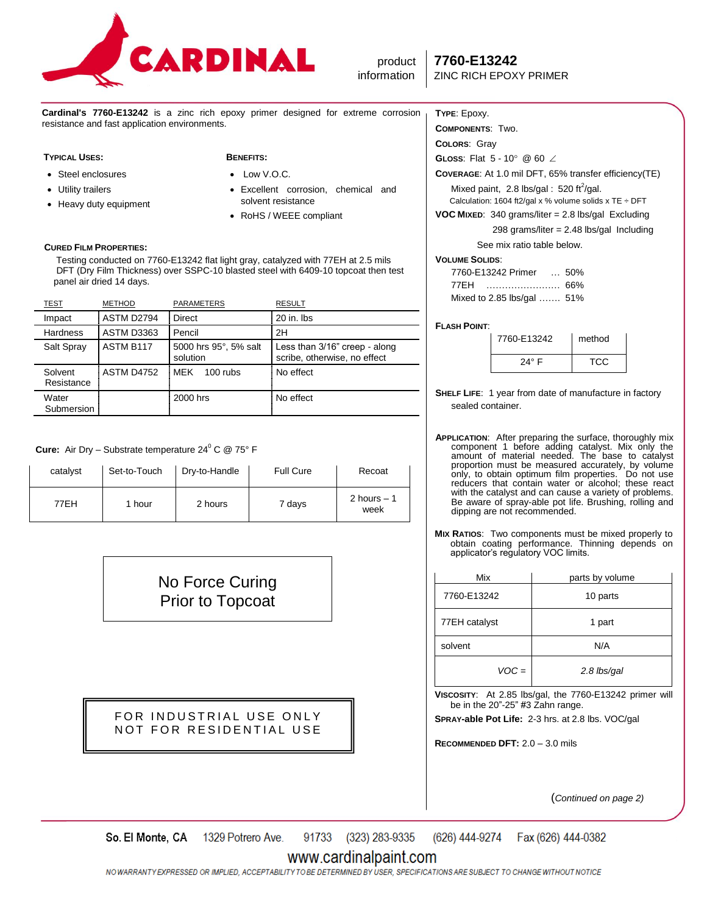

product **7760-E13242**

**Cardinal's 7760-E13242** is a zinc rich epoxy primer designed for extreme corrosion resistance and fast application environments.

#### **TYPICAL USES: BENEFITS:**

- Steel enclosures
- Utility trailers
- Heavy duty equipment
- $\bullet$  Low V.O.C.
- Excellent corrosion, chemical and solvent resistance
- RoHS / WEEE compliant

## **CURED FILM PROPERTIES:**

 Testing conducted on 7760-E13242 flat light gray, catalyzed with 77EH at 2.5 mils DFT (Dry Film Thickness) over SSPC-10 blasted steel with 6409-10 topcoat then test panel air dried 14 days.

| <b>TEST</b>           | <b>METHOD</b>     | <b>PARAMETERS</b>                 | <b>RESULT</b>                                                 |
|-----------------------|-------------------|-----------------------------------|---------------------------------------------------------------|
| Impact                | ASTM D2794        | <b>Direct</b>                     | 20 in. lbs                                                    |
| Hardness              | ASTM D3363        | Pencil                            | 2H                                                            |
| Salt Spray            | ASTM B117         | 5000 hrs 95°, 5% salt<br>solution | Less than 3/16" creep - along<br>scribe, otherwise, no effect |
| Solvent<br>Resistance | <b>ASTM D4752</b> | <b>MFK</b><br>$100$ rubs          | No effect                                                     |
| Water<br>Submersion   |                   | 2000 hrs                          | No effect                                                     |

**Cure:** Air Dry – Substrate temperature 24<sup>0</sup> C @ 75° F

| catalyst | Set-to-Touch | Dry-to-Handle | <b>Full Cure</b> | Recoat               |
|----------|--------------|---------------|------------------|----------------------|
| 77EH     | 1 hour       | 2 hours       | 7 days           | 2 hours $-1$<br>week |

No Force Curing Prior to Topcoat

FOR INDUSTRIAL USE ONLY NOT FOR RESIDENTIAL USE

## **TYPE**: Epoxy.

**COMPONENTS**: Two.

**COLORS**: Gray **GLoss:** Flat 5 - 10° @ 60 ∠

**COVERAGE**: At 1.0 mil DFT, 65% transfer efficiency(TE)

Mixed paint, 2.8 lbs/gal: 520 ft $^2$ /gal.

Calculation: 1604 ft2/gal x % volume solids x TE  $\div$  DFT

**VOC MIXED**: 340 grams/liter = 2.8 lbs/gal Excluding

298 grams/liter = 2.48 lbs/gal Including

See mix ratio table below.

## **VOLUME SOLIDS**:

| 7760-E13242 Primer         | 50% |
|----------------------------|-----|
| 77EH                       |     |
| Mixed to 2.85 lbs/gal  51% |     |

## **FLASH POINT**:

| 7760-E13242    | method |
|----------------|--------|
| $24^{\circ}$ F | TCC.   |

**SHELF LIFE**: 1 year from date of manufacture in factory sealed container.

**APPLICATION**: After preparing the surface, thoroughly mix component 1 before adding catalyst. Mix only the amount of material needed. The base to catalyst proportion must be measured accurately, by volume only, to obtain optimum film properties. Do not use reducers that contain water or alcohol; these react with the catalyst and can cause a variety of problems. Be aware of spray-able pot life. Brushing, rolling and dipping are not recommended.

**MIX RATIOS**: Two components must be mixed properly to obtain coating performance. Thinning depends on applicator's regulatory VOC limits.

| Mix           | parts by volume |
|---------------|-----------------|
| 7760-E13242   | 10 parts        |
| 77EH catalyst | 1 part          |
| solvent       | N/A             |
| $VOC =$       | 2.8 lbs/gal     |

**VISCOSITY**: At 2.85 lbs/gal, the 7760-E13242 primer will be in the 20"-25" #3 Zahn range.

**SPRAY-able Pot Life:** 2-3 hrs. at 2.8 lbs. VOC/gal

**RECOMMENDED DFT:** 2.0 – 3.0 mils

(*Continued on page 2)*

91733 (323) 283-9335 (626) 444-9274 So. El Monte, CA 1329 Potrero Ave. Fax (626) 444-0382

## www.cardinalpaint.com

NO WARRANTY EXPRESSED OR IMPLIED, ACCEPTABILITY TO BE DETERMINED BY USER, SPECIFICATIONS ARE SUBJECT TO CHANGE WITHOUT NOTICE